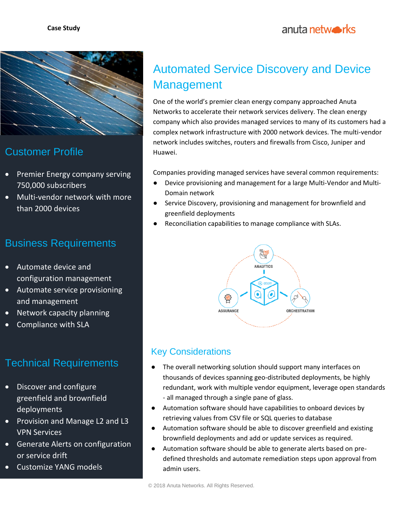

## Customer Profile

- Premier Energy company serving 750,000 subscribers
- Multi-vendor network with more than 2000 devices

#### Business Requirements

- Automate device and configuration management
- Automate service provisioning and management
- Network capacity planning
- Compliance with SLA

# Technical Requirements

- Discover and configure greenfield and brownfield deployments
- Provision and Manage L2 and L3 VPN Services
- Generate Alerts on configuration or service drift
- Customize YANG models

# Automated Service Discovery and Device Management

One of the world's premier clean energy company approached Anuta Networks to accelerate their network services delivery. The clean energy company which also provides managed services to many of its customers had a complex network infrastructure with 2000 network devices. The multi-vendor network includes switches, routers and firewalls from Cisco, Juniper and Huawei.

Companies providing managed services have several common requirements:

- Device provisioning and management for a large Multi-Vendor and Multi-Domain network
- Service Discovery, provisioning and management for brownfield and greenfield deployments
- Reconciliation capabilities to manage compliance with SLAs.



#### Key Considerations

- The overall networking solution should support many interfaces on thousands of devices spanning geo-distributed deployments, be highly redundant, work with multiple vendor equipment, leverage open standards - all managed through a single pane of glass.
- Automation software should have capabilities to onboard devices by retrieving values from CSV file or SQL queries to database
- Automation software should be able to discover greenfield and existing brownfield deployments and add or update services as required.
- Automation software should be able to generate alerts based on predefined thresholds and automate remediation steps upon approval from admin users.